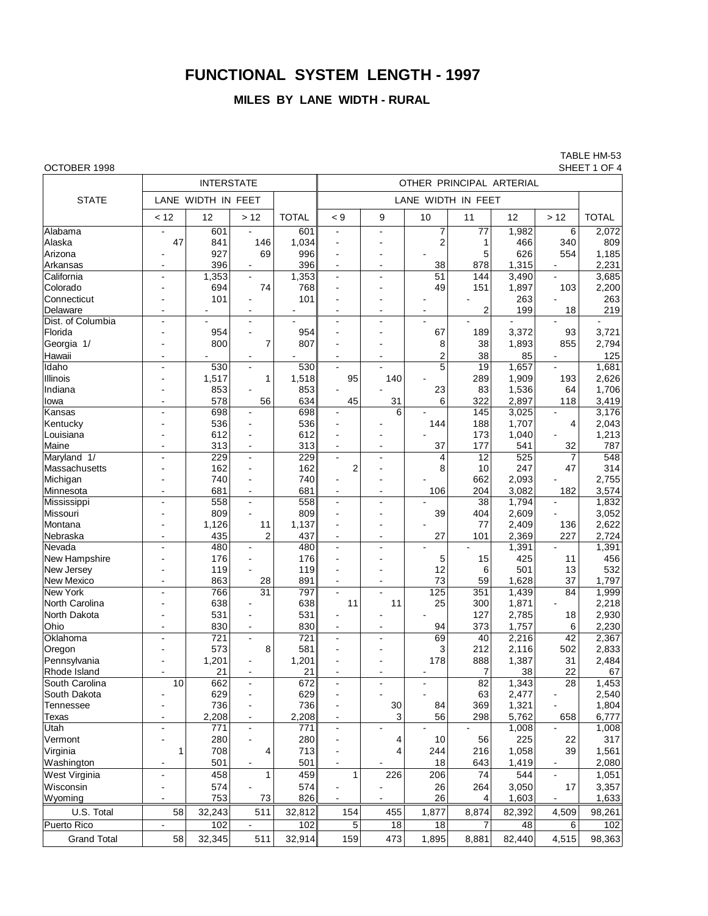# **FUNCTIONAL SYSTEM LENGTH - 1997**

## **MILES BY LANE WIDTH - RURAL**

TABLE HM-53

| OCTOBER 1998<br>SHEET 1 OF 4 |                          |                    |                          |              |                                  |                    |                         |                 |        |                       |                  |  |  |
|------------------------------|--------------------------|--------------------|--------------------------|--------------|----------------------------------|--------------------|-------------------------|-----------------|--------|-----------------------|------------------|--|--|
|                              |                          | <b>INTERSTATE</b>  |                          |              | OTHER PRINCIPAL ARTERIAL         |                    |                         |                 |        |                       |                  |  |  |
| <b>STATE</b>                 |                          | LANE WIDTH IN FEET |                          |              |                                  | LANE WIDTH IN FEET |                         |                 |        |                       |                  |  |  |
|                              | < 12                     | 12                 | >12                      | <b>TOTAL</b> | < 9                              | 9                  | 10                      | 11              | 12     | >12                   | <b>TOTAL</b>     |  |  |
| Alabama                      |                          | 601                |                          | 601          | ä,                               |                    | 7                       | 77              | 1,982  | 6                     | 2,072            |  |  |
| Alaska                       | 47                       | 841                | 146                      | 1,034        | ä,                               |                    | $\overline{\mathbf{c}}$ | 1               | 466    | 340                   | 809              |  |  |
| Arizona                      |                          | 927                | 69                       | 996          | L.                               |                    |                         | 5               | 626    | 554                   | 1,185            |  |  |
| Arkansas                     |                          | 396                |                          | 396          | ÷,                               |                    | 38                      | 878             | 1,315  |                       | 2,231            |  |  |
| California                   | ÷                        | 1,353              | $\sim$                   | 1,353        | L.                               | $\overline{a}$     | 51                      | 144             | 3,490  | $\blacksquare$        | 3,685            |  |  |
| Colorado                     |                          | 694                | 74                       | 768          | $\blacksquare$                   |                    | 49                      | 151             | 1,897  | 103                   | 2,200            |  |  |
| Connecticut                  |                          | 101                |                          | 101          | ä,                               |                    |                         |                 | 263    |                       | 263              |  |  |
| Delaware                     |                          |                    |                          |              | $\overline{a}$                   |                    |                         | $\overline{2}$  | 199    | 18                    | 219              |  |  |
| Dist. of Columbia            |                          |                    | $\sim$                   |              | $\blacksquare$                   |                    |                         |                 |        |                       |                  |  |  |
| Florida                      |                          | 954                | $\overline{a}$           | 954          | ä,                               |                    | 67                      | 189             | 3,372  | 93                    | 3,721            |  |  |
|                              |                          |                    |                          |              |                                  |                    |                         |                 |        |                       |                  |  |  |
| Georgia 1/                   |                          | 800                | 7                        | 807          |                                  |                    | 8                       | 38              | 1,893  | 855                   | 2,794            |  |  |
| Hawaii                       |                          |                    |                          |              | $\blacksquare$                   |                    | $\overline{\mathbf{c}}$ | 38              | 85     |                       | 125              |  |  |
| Idaho                        | $\overline{a}$           | 530                | $\sim$                   | 530          | ä,                               | $\overline{a}$     | 5                       | 19              | 1,657  | $\sim$                | 1,681            |  |  |
| Illinois                     |                          | 1,517              | 1                        | 1,518        | 95                               | 140                |                         | 289             | 1,909  | 193                   | 2,626            |  |  |
| Indiana                      |                          | 853                |                          | 853          |                                  |                    | 23                      | 83              | 1,536  | 64                    | 1,706            |  |  |
| lowa                         | $\overline{\phantom{a}}$ | 578                | 56                       | 634          | 45                               | 31                 | 6                       | 322             | 2,897  | 118                   | 3,419            |  |  |
| Kansas                       |                          | 698                |                          | 698          |                                  | 6                  |                         | 145             | 3,025  |                       | 3,176            |  |  |
| Kentucky                     |                          | 536                |                          | 536          |                                  |                    | 144                     | 188             | 1,707  | 4                     | 2,043            |  |  |
| Louisiana                    |                          | 612                | $\sim$                   | 612          |                                  |                    |                         | 173             | 1,040  |                       | 1,213            |  |  |
| Maine                        |                          | 313                |                          | 313          | ÷,                               |                    | 37                      | 177             | 541    | 32                    | 787              |  |  |
| Maryland 1/                  | ÷                        | 229                | $\mathbf{r}$             | 229          | $\overline{a}$                   | ÷                  | 4                       | 12              | 525    | 7                     | $\overline{548}$ |  |  |
| Massachusetts                |                          | 162                |                          | 162          | 2                                |                    | 8                       | 10              | 247    | 47                    | 314              |  |  |
| Michigan                     |                          | 740                | ٠                        | 740          |                                  |                    |                         | 662             | 2,093  |                       | 2,755            |  |  |
| Minnesota                    | $\overline{\phantom{a}}$ | 681                | $\blacksquare$           | 681          | $\blacksquare$                   | $\overline{a}$     | 106                     | 204             | 3,082  | 182                   | 3,574            |  |  |
| Mississippi                  |                          | 558                | $\blacksquare$           | 558          | L,                               |                    |                         | $\overline{38}$ | 1,794  |                       | 1,832            |  |  |
| Missouri                     |                          | 809                |                          | 809          | $\blacksquare$                   |                    | 39                      | 404             | 2,609  |                       | 3,052            |  |  |
|                              |                          |                    |                          |              |                                  |                    |                         |                 |        |                       |                  |  |  |
| Montana                      |                          | 1,126              | 11                       | 1,137        | $\blacksquare$                   |                    |                         | 77              | 2,409  | 136                   | 2,622            |  |  |
| Nebraska                     |                          | 435                | 2                        | 437          | $\overline{\phantom{a}}$         | $\blacksquare$     | 27                      | 101             | 2,369  | 227                   | 2,724            |  |  |
| Nevada                       | ÷                        | 480                | $\mathbf{r}$             | 480          | ä,                               | $\blacksquare$     |                         |                 | 1,391  | $\overline{a}$        | 1,391            |  |  |
| <b>New Hampshire</b>         |                          | 176                | $\sim$                   | 176          | ÷,                               |                    | 5                       | 15              | 425    | 11                    | 456              |  |  |
| New Jersey                   |                          | 119                |                          | 119          | ä,                               |                    | 12                      | 6               | 501    | 13                    | 532              |  |  |
| New Mexico                   |                          | 863                | 28                       | 891          | $\blacksquare$                   |                    | 73                      | 59              | 1,628  | 37                    | 1,797            |  |  |
| <b>New York</b>              |                          | 766                | $\overline{31}$          | 797          |                                  |                    | 125                     | 351             | 1,439  | 84                    | 1,999            |  |  |
| North Carolina               |                          | 638                |                          | 638          | 11                               | 11                 | 25                      | 300             | 1,871  |                       | 2,218            |  |  |
| North Dakota                 |                          | 531                |                          | 531          |                                  |                    |                         | 127             | 2,785  | 18                    | 2,930            |  |  |
| Ohio                         |                          | 830                | $\overline{\phantom{a}}$ | 830          | $\blacksquare$                   |                    | 94                      | 373             | 1,757  | 6                     | 2,230            |  |  |
| Oklahoma                     | $\overline{\phantom{a}}$ | 721                | $\blacksquare$           | 721          | $\overline{a}$                   | $\overline{a}$     | 69                      | 40              | 2,216  | $\overline{42}$       | 2,367            |  |  |
| Oregon                       |                          | 573                | 8                        | 581          | $\blacksquare$                   |                    | 3                       | 212             | 2,116  | 502                   | 2,833            |  |  |
| Pennsylvania                 |                          | 1,201              |                          | 1,201        |                                  |                    | 178                     | 888             | 1,387  | 31                    | 2,484            |  |  |
| Rhode Island                 | $\sim$                   | 21                 | $\sim$                   | 21           | $\blacksquare$                   | $\blacksquare$     | $\blacksquare$          | 7               | 38     | 22                    | 67               |  |  |
| South Carolina               | 10                       | 662                |                          | 672          |                                  |                    |                         | $\overline{82}$ | 1,343  | 28                    | 1,453            |  |  |
| South Dakota                 |                          | 629                |                          | 629          | $\blacksquare$                   |                    |                         | 63              | 2,477  | $\overline{a}$        | 2,540            |  |  |
| Tennessee                    |                          | 736                |                          | 736          |                                  | 30                 | 84                      | 369             | 1,321  |                       | 1,804            |  |  |
| Texas                        |                          | 2,208              |                          | 2,208        |                                  | 3                  | 56                      | 298             | 5,762  |                       | 6,777            |  |  |
| Utah                         | $\overline{\phantom{a}}$ | 771                | $\sim$<br>$\blacksquare$ | 771          | $\blacksquare$<br>$\overline{a}$ |                    |                         |                 | 1,008  | 658<br>$\blacksquare$ | 1,008            |  |  |
|                              |                          |                    |                          |              |                                  |                    |                         |                 |        |                       |                  |  |  |
| Vermont                      |                          | 280                |                          | 280          | $\overline{\phantom{0}}$         | 4                  | 10                      | 56              | 225    | 22                    | 317              |  |  |
| Virginia                     | 1                        | 708                | 4                        | 713          |                                  | 4                  | 244                     | 216             | 1,058  | 39                    | 1,561            |  |  |
| Washington                   | $\overline{\phantom{a}}$ | 501                | $\blacksquare$           | 501          | $\blacksquare$                   |                    | 18                      | 643             | 1,419  | $\blacksquare$        | 2,080            |  |  |
| West Virginia                |                          | 458                | 1                        | 459          | 1                                | 226                | 206                     | 74              | 544    | $\blacksquare$        | 1,051            |  |  |
| Wisconsin                    |                          | 574                |                          | 574          |                                  |                    | 26                      | 264             | 3,050  | 17                    | 3,357            |  |  |
| Wyoming                      |                          | 753                | 73                       | 826          |                                  |                    | 26                      | 4               | 1,603  | $\blacksquare$        | 1,633            |  |  |
| U.S. Total                   | 58                       | 32,243             | 511                      | 32,812       | 154                              | 455                | 1,877                   | 8,874           | 82,392 | 4,509                 | 98,261           |  |  |
| <b>Puerto Rico</b>           | $\tilde{\phantom{a}}$    | 102                | $\blacksquare$           | 102          | 5                                | 18                 | 18                      | $\overline{7}$  | 48     | 6                     | 102              |  |  |
| <b>Grand Total</b>           | 58                       | 32,345             | 511                      | 32,914       | 159                              | 473                | 1,895                   | 8,881           | 82,440 | 4,515                 | 98,363           |  |  |
|                              |                          |                    |                          |              |                                  |                    |                         |                 |        |                       |                  |  |  |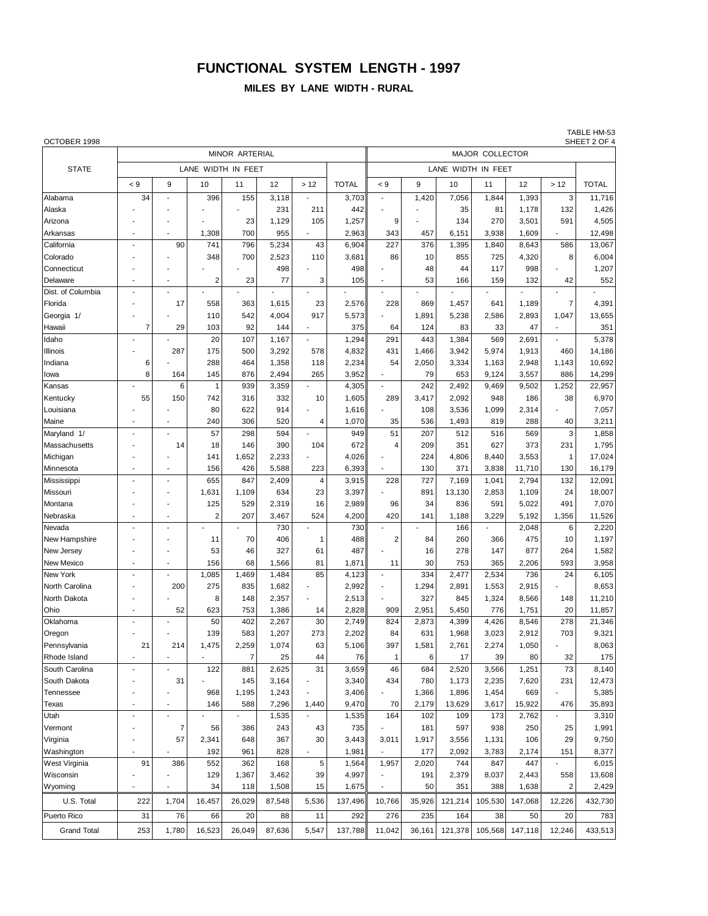## **FUNCTIONAL SYSTEM LENGTH - 1997**

#### **MILES BY LANE WIDTH - RURAL**

TABLE HM-53<br>SHEET 2 OF 4

| OCTOBER 1998       |                          |                          |                |                |        |                          |              |                          |        |         |         |         |                | SHEET 2 OF 4 |  |
|--------------------|--------------------------|--------------------------|----------------|----------------|--------|--------------------------|--------------|--------------------------|--------|---------|---------|---------|----------------|--------------|--|
|                    |                          |                          |                | MINOR ARTERIAL |        |                          |              | MAJOR COLLECTOR          |        |         |         |         |                |              |  |
| <b>STATE</b>       |                          |                          |                |                |        |                          |              |                          |        |         |         |         |                |              |  |
|                    | $\leq 9$                 | 9                        | 10             | 11             | 12     | >12                      | <b>TOTAL</b> | < 9                      | 9      | 10      | 11      | 12      | >12            | <b>TOTAL</b> |  |
|                    |                          |                          |                |                |        |                          |              | ÷,                       |        |         |         |         |                |              |  |
| Alabama            | 34                       |                          | 396            | 155            | 3,118  |                          | 3,703        |                          | 1,420  | 7,056   | 1,844   | 1,393   | 3              | 11,716       |  |
| Alaska             |                          |                          |                |                | 231    | 211                      | 442          |                          |        | 35      | 81      | 1,178   | 132            | 1,426        |  |
| Arizona            |                          |                          |                | 23             | 1,129  | 105                      | 1,257        | 9                        |        | 134     | 270     | 3,501   | 591            | 4,505        |  |
| Arkansas           | $\overline{\phantom{a}}$ | $\overline{a}$           | 1,308          | 700            | 955    | ÷.                       | 2,963        | 343                      | 457    | 6,151   | 3,938   | 1,609   | $\overline{a}$ | 12,498       |  |
| California         | $\blacksquare$           | 90                       | 741            | 796            | 5,234  | 43                       | 6,904        | 227                      | 376    | 1,395   | 1,840   | 8,643   | 586            | 13,067       |  |
| Colorado           |                          |                          | 348            | 700            | 2,523  | 110                      | 3,681        | 86                       | 10     | 855     | 725     | 4,320   | 8              | 6,004        |  |
| Connecticut        |                          |                          |                |                | 498    |                          | 498          |                          | 48     | 44      | 117     | 998     |                | 1,207        |  |
| Delaware           | $\overline{\phantom{a}}$ | ٠                        | $\overline{2}$ | 23             | 77     | 3                        | 105          | $\overline{\phantom{a}}$ | 53     | 166     | 159     | 132     | 42             | 552          |  |
| Dist. of Columbia  | ÷                        |                          |                |                |        |                          |              |                          |        |         |         |         |                |              |  |
| Florida            |                          | 17                       | 558            | 363            | 1,615  | 23                       | 2,576        | 228                      | 869    | 1,457   | 641     | 1,189   | 7              | 4,391        |  |
| Georgia 1/         |                          |                          | 110            | 542            | 4,004  | 917                      | 5,573        |                          | 1,891  | 5,238   | 2,586   | 2,893   | 1,047          | 13,655       |  |
| Hawaii             | 7                        | 29                       | 103            | 92             | 144    |                          | 375          | 64                       | 124    | 83      | 33      | 47      |                | 351          |  |
| Idaho              | $\overline{a}$           |                          | 20             | 107            | 1,167  |                          | 1,294        | 291                      | 443    | 1,384   | 569     | 2,691   |                | 5,378        |  |
| Illinois           |                          | 287                      | 175            | 500            | 3,292  | 578                      | 4,832        | 431                      | 1,466  | 3,942   | 5,974   | 1,913   | 460            | 14,186       |  |
| Indiana            | 6                        |                          | 288            | 464            | 1,358  | 118                      | 2,234        | 54                       | 2,050  | 3,334   | 1,163   | 2,948   | 1,143          | 10,692       |  |
| Iowa               | 8                        | 164                      | 145            | 876            | 2,494  | 265                      | 3,952        |                          | 79     | 653     | 9,124   | 3,557   | 886            | 14,299       |  |
| Kansas             |                          | 6                        | $\mathbf{1}$   | 939            | 3,359  | $\overline{a}$           | 4,305        | ÷,                       | 242    | 2,492   | 9,469   | 9,502   | 1,252          | 22,957       |  |
| Kentucky           | 55                       | 150                      | 742            | 316            | 332    | 10                       | 1,605        | 289                      | 3,417  | 2,092   | 948     | 186     | 38             | 6,970        |  |
| Louisiana          |                          |                          | 80             | 622            | 914    |                          | 1,616        |                          | 108    | 3,536   | 1,099   | 2,314   |                | 7,057        |  |
| Maine              |                          |                          | 240            | 306            | 520    | 4                        | 1,070        | 35                       | 536    | 1,493   | 819     | 288     | 40             | 3,211        |  |
| Maryland 1/        | $\overline{a}$           |                          | 57             | 298            | 594    | $\overline{\phantom{a}}$ | 949          | 51                       | 207    | 512     | 516     | 569     | 3              | 1,858        |  |
| Massachusetts      |                          | 14                       | 18             | 146            | 390    | 104                      | 672          | 4                        | 209    | 351     | 627     | 373     | 231            | 1,795        |  |
| Michigan           |                          |                          | 141            | 1,652          | 2,233  |                          | 4,026        |                          | 224    | 4,806   | 8,440   | 3,553   | $\mathbf{1}$   | 17,024       |  |
| Minnesota          | $\blacksquare$           | $\overline{\phantom{a}}$ | 156            | 426            | 5,588  | 223                      | 6,393        |                          | 130    | 371     | 3,838   | 11,710  | 130            | 16,179       |  |
| Mississippi        |                          |                          | 655            | 847            | 2,409  | 4                        | 3,915        | 228                      | 727    | 7,169   | 1,041   | 2,794   | 132            | 12,091       |  |
| Missouri           |                          |                          | 1,631          | 1,109          | 634    | 23                       | 3,397        |                          | 891    | 13,130  | 2,853   | 1,109   | 24             | 18,007       |  |
| Montana            |                          |                          | 125            | 529            | 2,319  | 16                       | 2,989        | 96                       | 34     | 836     | 591     | 5,022   | 491            | 7,070        |  |
| Nebraska           | J.                       |                          | $\overline{2}$ | 207            | 3,467  | 524                      | 4,200        | 420                      | 141    | 1,188   | 3,229   | 5,192   | 1,356          | 11,526       |  |
| Nevada             | $\overline{\phantom{a}}$ | ÷                        |                |                | 730    |                          | 730          |                          |        | 166     |         | 2,048   | 6              | 2,220        |  |
| New Hampshire      |                          |                          | 11             | 70             | 406    | $\mathbf{1}$             | 488          | $\overline{2}$           | 84     | 260     | 366     | 475     | 10             | 1,197        |  |
| New Jersey         |                          | $\overline{a}$           | 53             | 46             | 327    | 61                       | 487          |                          | 16     | 278     | 147     | 877     | 264            | 1,582        |  |
| New Mexico         | $\overline{a}$           |                          | 156            | 68             | 1,566  | 81                       | 1,871        | 11                       | 30     | 753     | 365     | 2,206   | 593            | 3,958        |  |
| New York           | $\overline{a}$           |                          | 1,085          | 1,469          | 1,484  | 85                       | 4,123        |                          | 334    | 2,477   | 2,534   | 736     | 24             | 6,105        |  |
| North Carolina     |                          | 200                      | 275            | 835            | 1,682  |                          | 2,992        | ÷,                       | 1,294  | 2,891   | 1,553   | 2,915   |                | 8,653        |  |
| North Dakota       |                          |                          | 8              | 148            | 2,357  |                          | 2,513        |                          | 327    | 845     | 1,324   | 8,566   | 148            | 11,210       |  |
| Ohio               | $\overline{\phantom{a}}$ | 52                       | 623            | 753            | 1,386  | 14                       | 2,828        | 909                      | 2,951  | 5,450   | 776     | 1,751   | 20             | 11,857       |  |
| Oklahoma           |                          |                          | 50             | 402            | 2,267  | 30                       | 2,749        | 824                      | 2,873  | 4,399   | 4,426   | 8,546   | 278            | 21,346       |  |
| Oregon             |                          |                          | 139            | 583            | 1,207  | 273                      | 2,202        | 84                       | 631    | 1,968   | 3,023   | 2,912   | 703            | 9,321        |  |
| Pennsylvania       | 21                       | 214                      | 1,475          | 2,259          | 1,074  | 63                       | 5,106        | 397                      | 1,581  | 2,761   | 2,274   | 1,050   |                | 8,063        |  |
| Rhode Island       |                          |                          |                | $\overline{7}$ | 25     | 44                       | 76           | 1                        | 6      | 17      | 39      | 80      | 32             | 175          |  |
| South Carolina     | $\overline{a}$           |                          | 122            | 881            | 2,625  | 31                       | 3,659        | 46                       | 684    | 2,520   | 3,566   | 1,251   | 73             | 8,140        |  |
| South Dakota       |                          | 31                       |                | 145            | 3,164  |                          | 3,340        | 434                      | 780    | 1,173   | 2,235   | 7,620   | 231            | 12,473       |  |
| Tennessee          | ٠                        |                          | 968            | 1,195          | 1,243  |                          | 3,406        | $\overline{a}$           | 1,366  | 1,896   | 1,454   | 669     |                | 5,385        |  |
| Texas              | $\overline{\phantom{a}}$ | Ĭ.                       | 146            | 588            | 7,296  | 1,440                    | 9,470        | 70                       | 2,179  | 13,629  | 3,617   | 15,922  | 476            | 35,893       |  |
| Utah               |                          |                          |                |                | 1,535  |                          | 1,535        | 164                      | 102    | 109     | 173     | 2,762   |                | 3,310        |  |
| Vermont            | $\overline{a}$           | $\overline{7}$           | 56             | 386            | 243    | 43                       | 735          |                          | 181    | 597     | 938     | 250     | 25             | 1,991        |  |
| Virginia           |                          | 57                       | 2,341          | 648            | 367    | 30                       | 3,443        | 3,011                    | 1,917  | 3,556   | 1,131   | 106     | 29             | 9,750        |  |
| Washington         |                          |                          | 192            | 961            | 828    |                          | 1,981        |                          | 177    | 2,092   | 3,783   | 2,174   | 151            | 8,377        |  |
| West Virginia      | 91                       | 386                      | 552            | 362            | 168    | 5                        | 1,564        | 1,957                    | 2,020  | 744     | 847     | 447     |                | 6,015        |  |
| Wisconsin          |                          |                          | 129            | 1,367          | 3,462  | 39                       | 4,997        |                          | 191    | 2,379   | 8,037   | 2,443   | 558            | 13,608       |  |
| Wyoming            | Ĭ.                       |                          | 34             | 118            | 1,508  | 15                       | 1,675        | $\overline{\phantom{a}}$ | 50     | 351     | 388     | 1,638   | $\overline{2}$ | 2,429        |  |
| U.S. Total         | 222                      | 1,704                    | 16,457         | 26,029         | 87,548 | 5,536                    | 137,496      | 10,766                   | 35,926 | 121,214 | 105,530 | 147,068 | 12,226         | 432,730      |  |
| Puerto Rico        | 31                       | 76                       | 66             | 20             | 88     | 11                       | 292          | 276                      | 235    | 164     | 38      | 50      | 20             | 783          |  |
| <b>Grand Total</b> | 253                      | 1,780                    | 16,523         | 26,049         | 87,636 | 5,547                    | 137,788      | 11,042                   | 36,161 | 121,378 | 105,568 | 147,118 | 12,246         | 433,513      |  |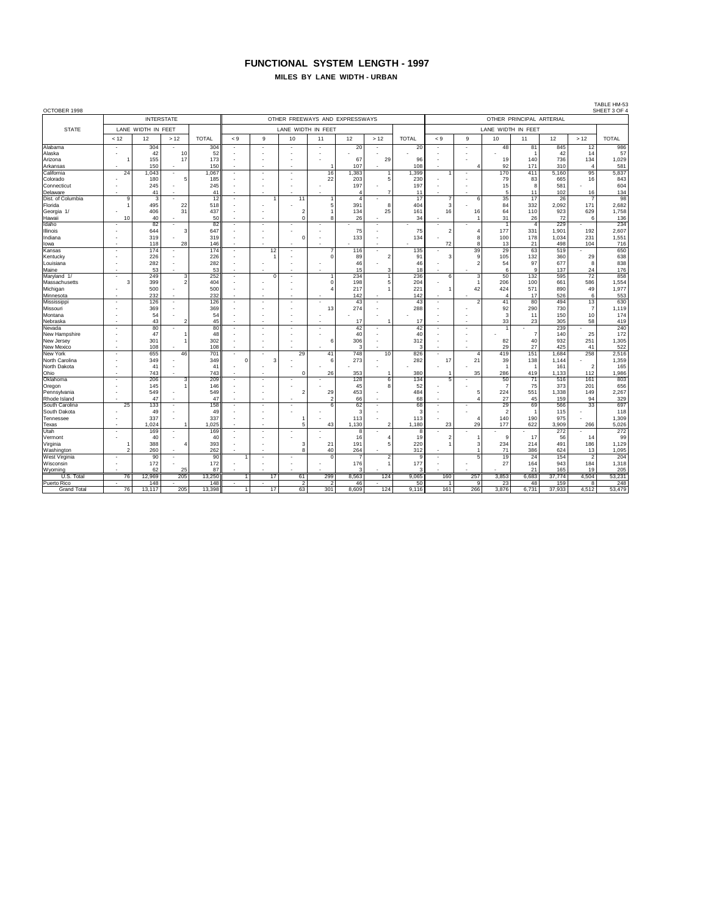#### **FUNCTIONAL SYSTEM LENGTH - 1997 MILES BY LANE WIDTH - URBAN**

TABLE HM-53<br>SHEET 3 OF 4 OCTOBER 1998 SHEET 3 OF 4 INTERSTATE OTHER FREEWAYS AND EXPRESSWAYS OTHER PRINCIPAL ARTERIAL STATE LANE WIDTH IN FEET LANE WIDTH IN FEET LANE WIDTH IN FEET LANE WIDTH IN FEET < 12 12 > 12 TOTAL < 9 9 10 11 12 > 12 TOTAL < 9 9 10 11 12 > 12 TOTAL Alabama - 304 - 304 - - - - 20 - 20 - - 48 81 845 12 986 Alaska - 42 10 52 - - - - - - - - - - 1 42 14 57 Arizona | 1 | 155 | 17 | 173 | - | - | - | 67 | 29 | 96 || - | - | 19 | 140 | 736 | 134 | 1,029 Arkansas | - | 150 |- | 150 || - || - || - || 107 || - || 108 || - || - || 4 || 92 || 171 || 310 || - || - 581 California | 24 |1,043 - | 1,067 | - | - | - | 16 |1,383 | 1 | 1,399 | 1 | - | 170 | 411 | 5,160 | 95 | 5,837 Colorado | - | 180 | 5 | 185 || - | - | - | 22 | 203 | - 5 | 230 || - | - | 79 | 83 | 665 | 16 | 843 Connecticut | - | 245 | - | 245 || - || - || - || - || 197 || - || 197 || - || 15 || 8 || 581 || - || 604 Delaware | - | 41 - | 41 | - | - | - | - | 4 | 7 | 11 | - | - | 5 | 11 | 102 | 16 | 134 Dist. of Columbia | 9 3 - | 12 - | 11 11 1 | 4 - | 17 || 7 | 6 | 35 | 17 | 26 | 7 | 98 Florida 1 495 22 518 - - - 5 391 8 404 3 - 84 332 2,092 171 2,682 Georgia 1/ - 406 31 437 - - 2 1 134 25 161 16 16 64 110 923 629 1,758 Hawaii | 10 | 40 | | 50 | | | | 0 | 8 | 26 | | 34 | | 1 | 31 | 26 | 72 | 6 | 136 Idaho - 82 - 82 - - - - - - - - - 1 4 229 - 234 Illinois - 644 3 647 - - - - 75 - 75 2 4 177 331 1,901 192 2,607 Indiana - 319 - 319 - - 0 - 133 - 134 - 8 100 178 1,034 231 1,551 Iowa | - | 118| 28| 146|| - | - | - | - | - | - | - || 72| 8| 13| 21| 498| 104| 716 Kansas - 174 - 174 - 12 - 7 116 - 135 - 39 29 63 519 - 650 Kentucky | - | 226| - | 226| - | 1| - | 0| 89| 2| 91|| 3| 9| 105| 132| 360| 29| 638 Louisiana - 282 - 282 - - - - 46 - 46 - 2 54 97 677 8 838 176 - 1905 - 1907 - 1908 - 1908 - 1908 - 1908 - 1908 - 1908 - 1908 - 1908 - 1908 - 1908 - 1908 - 190 Maryland 1/ - 249 3 252 - 0 - 1 234 1 236 6 3 50 132 595 72 858 Massachusetts | 3| 399| 2| 404| - | - | - | 0| 198| 5| 204|| - | 1| 206| 100| 661| 586| 1,554 Michigan | - | 500 |- | 500 || - || - || - || 4| 217 || 1| 221 || 1| 42 || 424 || 571 || 890 || 49 || 1,977 Minnesota - 232 - 232 - - - - 142 - 142 - - 4 17 526 6 553 Mississippi | | | 126 - | 126 - | - | - | - | 43 - | 43 | - | 2 | 41 | 80 | 494 | 13 | 630 Missouri - | 369 - | 369 - | - | - | 13 274 - | 288 - | - | 92 290 730 - 7 1,119 174 - 180 - 1910 - 1920 - 1930 - 1940 - 1940 - 1940 - 1940 - 1940 - 1940 - 1940 - 1940 - 1940 - 1940 - 1940 - Nebraska - 43 2 45 - - - - 17 1 17 - - 33 23 305 58 419 Nevada - 80 - 80 - - - - 42 - 42 - - 1 - 239 - 240 New Hampshire | - | 47| 1| 48| - | - | - | - | 40| - | -40| - | - | - | - | 140| 25| 172 New Jersey | - | 301 | 1 | 302 || - || - || - || 6 || 306 || - || - 312 || - || - || - || 82 || 40 || 932 || 251 || 1,305 New Mexico - 108 - 108 - - - - 3 - 3 - - 29 27 425 41 522 New York - 655 46 701 - - 29 41 748 10 826 - 4 419 151 1,684 258 2,516 North Carolina - | - | 349 - | 349 | 0 | 3 | - | 6 | 273 | - | 282 || 17 | 21 | 39 | 138 | 1,144 - | 1,359 North Dakota - 41 - 41 - - - - - - - - - 1 1 161 2 165 Ohio - 743 - 743 - - 0 26 353 1 380 1 35 286 419 1,133 112 1,986 Oklahoma | - | 206| 3| 209| - | - | - | - | 128| 6| 134|| 5| - | 50| 71| 516| 161| 803 Oregon - 145 1 146 - - - - 45 8 52 - - 7 75 373 201 656 Pennsylvania | - | 549 - | 549 - | - | 2| 29| 453| - | 484|| - | 5| 224| 551 1,338| 149| 2,267 Rhode Island - 47 - 47 - - - 2 66 - 68 - 4 27 45 159 94 329 South Carolina | 25 | 133 |- | 158 ||- ||- || - || 6 || 62 ||- || 68 ||- ||- || 29 || 69 || 566 || 33 || 697 South Dakota - 49 - 49 - - - - 3 - 3 - - 2 1 115 - 118 Tennessee | - | 337| - | 337| - | - | 1| - | 113| - | 113| - | - 4| 140| 190| 975| - | 1,309 Texas | - | 1,024 | 1 1,025 | - | - | 5 | 43 | 1,130 | 2 | 1,180 || 23 | 29 | 177 | 622 | 3,909 | 266 | 5,026 Utah - 169 - 169 - - - - 8 - 8 - - - - 272 - 272 Vermont | - | 40| - | 40| - | - | - | - | 16| 4| 19|| 2| 1| 9| 17| 56| 14| 99 Virginia | 1 | 388 | 4 | 393 || - || - || 3 || 21 || 191 || 5 || 220 || 1 || 3 || 234 || 214 || 491 || 186 || 1,129 Washington | 2| 260| - | 262| - | - | 8| 40| 264| - | 312|| - | 1| 71| 386| 624| 13| 1,095 West Virginia | - | 90 | - | 90 || 1 || - || - || 0 || 7 || 2 || 9 || - || 5 || 19 || 24 || 154 || 2 || 204 Wisconsin | - | 172 |- | 172 || - || - || - || 176 || 1 $|101\rangle$  177 || - || - || 27 || 164 || 943 || 184 || 1,318 Wyoming - 62 25 87 - - - - 3 - 3 - - - 21 165 19 205 U.S. Total | 76 12,969 205 13,250 1 1 17 61 299 8,563 124 9,065 160 257 3,853 6,683 37,774 4,504 53,231 Puerto Rico | - | 148 - | 148 | - | - | 2 | 2 | 46 | - | 50 || 1 | 9 | 23 | 48 | 159 | 8 | 248 Grand Total | 76 |13,117 | 205 | 13,398 | 1 | 17 | 63 | 301 | 8,609 | 124 | 9,116 | 161 | 266 | 3,876 | 6,731 | 37,933 | 4,512 | 53,479